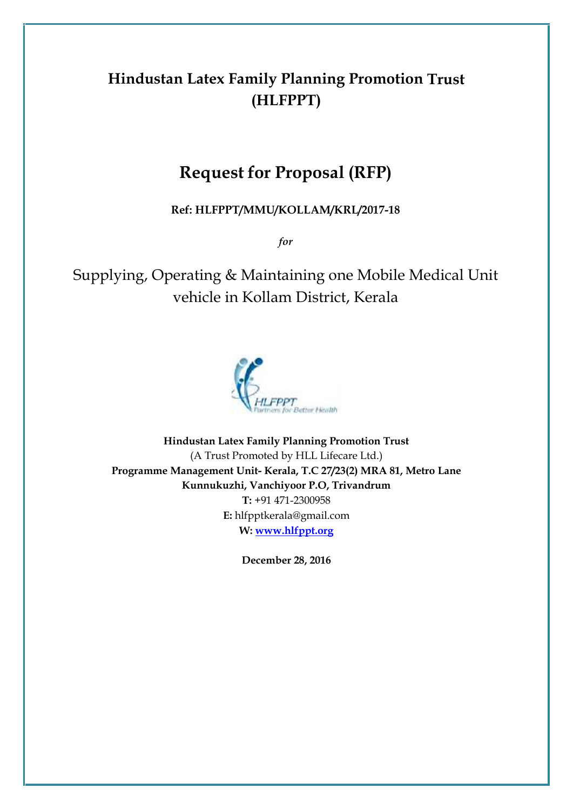# **Hindustan Latex Family Planning Promotion Trust (HLFPPT)**

# **Request for Proposal (RFP)**

**Ref: HLFPPT/MMU/KOLLAM/KRL/2017-18**

*for*

Supplying, Operating & Maintaining one Mobile Medical Unit vehicle in Kollam District, Kerala



**Hindustan Latex Family Planning Promotion Trust** (A Trust Promoted by HLL Lifecare Ltd.) **Programme Management Unit- Kerala, T.C 27/23(2) MRA 81, Metro Lane Kunnukuzhi, Vanchiyoor P.O, Trivandrum T:** +91 471-2300958 **E:** hlfpptkerala@gmail.com **W: www.hlfppt.org**

**December 28, 2016**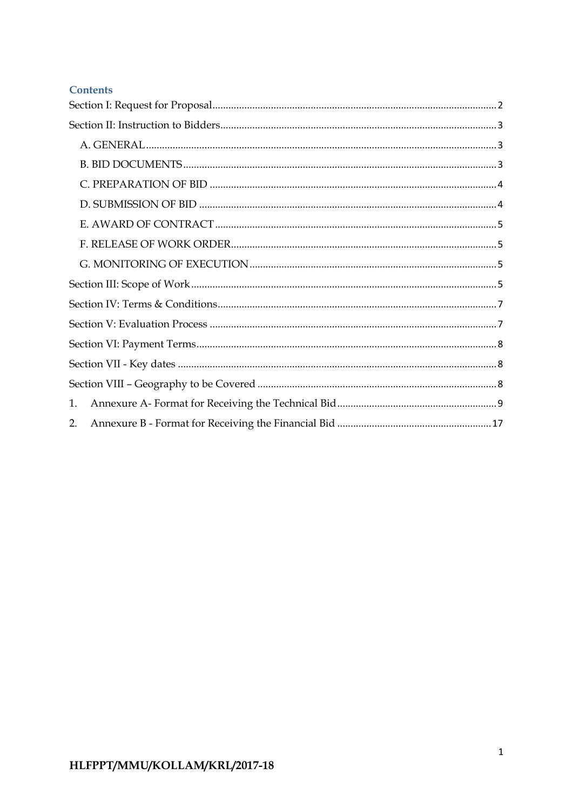#### **Contents**

| 1. |  |
|----|--|
| 2. |  |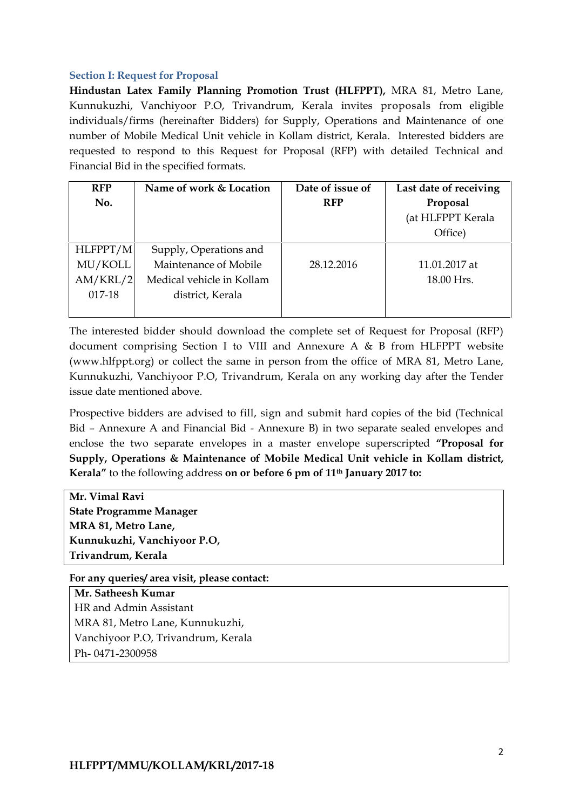#### **Section I: Request for Proposal**

**Hindustan Latex Family Planning Promotion Trust (HLFPPT),** MRA 81, Metro Lane, Kunnukuzhi, Vanchiyoor P.O, Trivandrum, Kerala invites proposals from eligible individuals/firms (hereinafter Bidders) for Supply, Operations and Maintenance of one number of Mobile Medical Unit vehicle in Kollam district, Kerala. Interested bidders are requested to respond to this Request for Proposal (RFP) with detailed Technical and Financial Bid in the specified formats.

| <b>RFP</b> | Name of work & Location   | Date of issue of | Last date of receiving |
|------------|---------------------------|------------------|------------------------|
| No.        |                           | <b>RFP</b>       | Proposal               |
|            |                           |                  | (at HLFPPT Kerala      |
|            |                           |                  | Office)                |
| HLFPPT/M   | Supply, Operations and    |                  |                        |
| MU/KOLL    | Maintenance of Mobile     | 28.12.2016       | 11.01.2017 at          |
| AM/KRL/2   | Medical vehicle in Kollam |                  | 18.00 Hrs.             |
| 017-18     | district, Kerala          |                  |                        |
|            |                           |                  |                        |

The interested bidder should download the complete set of Request for Proposal (RFP) document comprising Section I to VIII and Annexure A & B from HLFPPT website (www.hlfppt.org) or collect the same in person from the office of MRA 81, Metro Lane, Kunnukuzhi, Vanchiyoor P.O, Trivandrum, Kerala on any working day after the Tender issue date mentioned above.

Prospective bidders are advised to fill, sign and submit hard copies of the bid (Technical Bid – Annexure A and Financial Bid - Annexure B) in two separate sealed envelopes and enclose the two separate envelopes in a master envelope superscripted **"Proposal for Supply, Operations & Maintenance of Mobile Medical Unit vehicle in Kollam district, Kerala"** to the following address **on or before 6 pm of 11th January 2017 to:**

**Mr. Vimal Ravi State Programme Manager MRA 81, Metro Lane, Kunnukuzhi, Vanchiyoor P.O, Trivandrum, Kerala**

**For any queries/ area visit, please contact:**

**Mr. Satheesh Kumar** HR and Admin Assistant MRA 81, Metro Lane, Kunnukuzhi, Vanchiyoor P.O, Trivandrum, Kerala Ph- 0471-2300958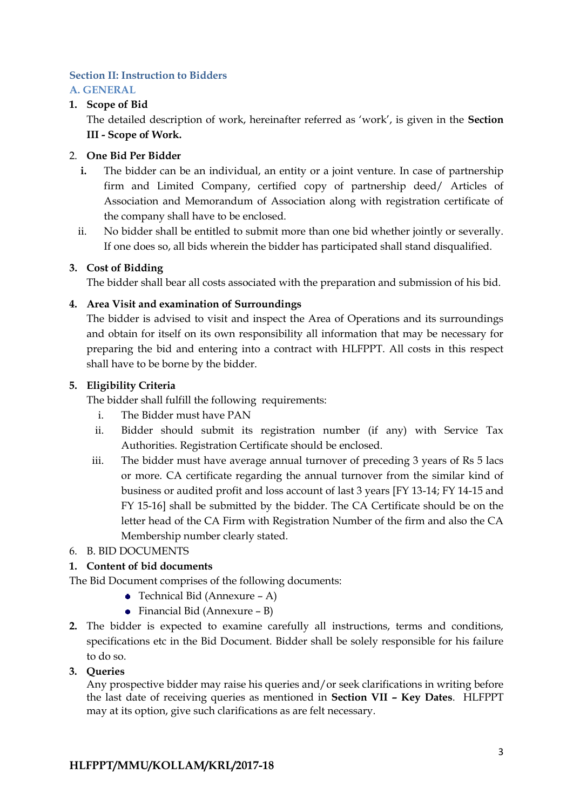# **Section II: Instruction to Bidders**

# **A. GENERAL**

# **1. Scope of Bid**

The detailed description of work, hereinafter referred as 'work', is given in the **Section III - Scope of Work.**

#### 2. **One Bid Per Bidder**

- **i.** The bidder can be an individual, an entity or a joint venture. In case of partnership firm and Limited Company, certified copy of partnership deed/ Articles of Association and Memorandum of Association along with registration certificate of the company shall have to be enclosed.
- ii. No bidder shall be entitled to submit more than one bid whether jointly or severally. If one does so, all bids wherein the bidder has participated shall stand disqualified.

#### **3. Cost of Bidding**

The bidder shall bear all costs associated with the preparation and submission of his bid.

#### **4. Area Visit and examination of Surroundings**

The bidder is advised to visit and inspect the Area of Operations and its surroundings and obtain for itself on its own responsibility all information that may be necessary for preparing the bid and entering into a contract with HLFPPT. All costs in this respect shall have to be borne by the bidder.

#### **5. Eligibility Criteria**

The bidder shall fulfill the following requirements:

- i. The Bidder must have PAN
- ii. Bidder should submit its registration number (if any) with Service Tax Authorities. Registration Certificate should be enclosed.
- iii. The bidder must have average annual turnover of preceding 3 years of Rs 5 lacs or more. CA certificate regarding the annual turnover from the similar kind of business or audited profit and loss account of last 3 years [FY 13-14; FY 14-15 and FY 15-16] shall be submitted by the bidder. The CA Certificate should be on the letter head of the CA Firm with Registration Number of the firm and also the CA Membership number clearly stated.
- 6. B. BID DOCUMENTS

# **1. Content of bid documents**

The Bid Document comprises of the following documents:

- Technical Bid (Annexure A)
- Financial Bid (Annexure B)
- **2.** The bidder is expected to examine carefully all instructions, terms and conditions, specifications etc in the Bid Document. Bidder shall be solely responsible for his failure to do so.
- **3. Queries**

Any prospective bidder may raise his queries and/or seek clarifications in writing before the last date of receiving queries as mentioned in **Section VII – Key Dates**. HLFPPT may at its option, give such clarifications as are felt necessary.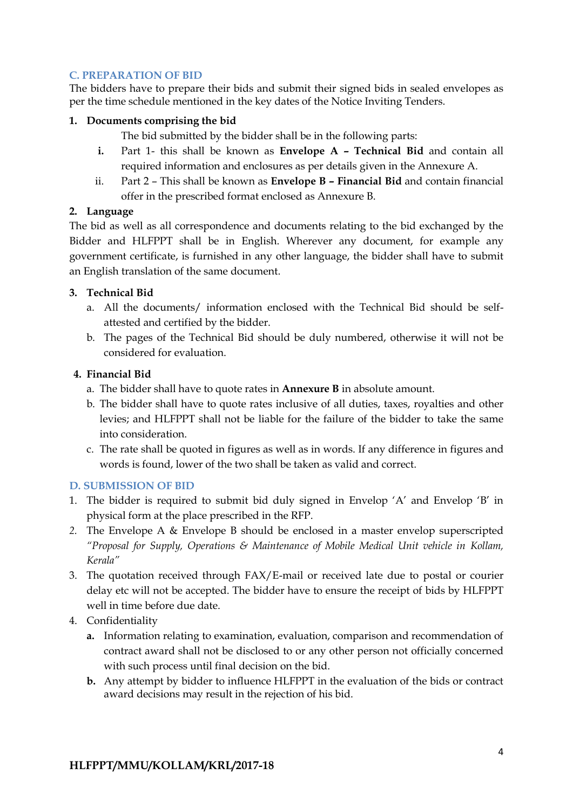#### **C. PREPARATION OF BID**

The bidders have to prepare their bids and submit their signed bids in sealed envelopes as per the time schedule mentioned in the key dates of the Notice Inviting Tenders.

#### **1. Documents comprising the bid**

The bid submitted by the bidder shall be in the following parts:

- **i.** Part 1- this shall be known as **Envelope A – Technical Bid** and contain all required information and enclosures as per details given in the Annexure A.
- ii. Part 2 This shall be known as **Envelope B – Financial Bid** and contain financial offer in the prescribed format enclosed as Annexure B.

#### **2. Language**

The bid as well as all correspondence and documents relating to the bid exchanged by the Bidder and HLFPPT shall be in English. Wherever any document, for example any government certificate, is furnished in any other language, the bidder shall have to submit an English translation of the same document.

#### **3. Technical Bid**

- a. All the documents/ information enclosed with the Technical Bid should be self attested and certified by the bidder.
- b. The pages of the Technical Bid should be duly numbered, otherwise it will not be considered for evaluation.

#### **4. Financial Bid**

- a. The bidder shall have to quote rates in **Annexure B** in absolute amount.
- b. The bidder shall have to quote rates inclusive of all duties, taxes, royalties and other levies; and HLFPPT shall not be liable for the failure of the bidder to take the same into consideration.
- c. The rate shall be quoted in figures as well as in words. If any difference in figures and words is found, lower of the two shall be taken as valid and correct.

# **D. SUBMISSION OF BID**

- 1. The bidder is required to submit bid duly signed in Envelop 'A' and Envelop 'B' in physical form at the place prescribed in the RFP.
- *2.* The Envelope A & Envelope B should be enclosed in a master envelop superscripted *"Proposal for Supply, Operations & Maintenance of Mobile Medical Unit vehicle in Kollam, Kerala"*
- 3. The quotation received through FAX/E-mail or received late due to postal or courier delay etc will not be accepted. The bidder have to ensure the receipt of bids by HLFPPT well in time before due date.
- 4. Confidentiality
	- **a.** Information relating to examination, evaluation, comparison and recommendation of contract award shall not be disclosed to or any other person not officially concerned with such process until final decision on the bid.
	- **b.** Any attempt by bidder to influence HLFPPT in the evaluation of the bids or contract award decisions may result in the rejection of his bid.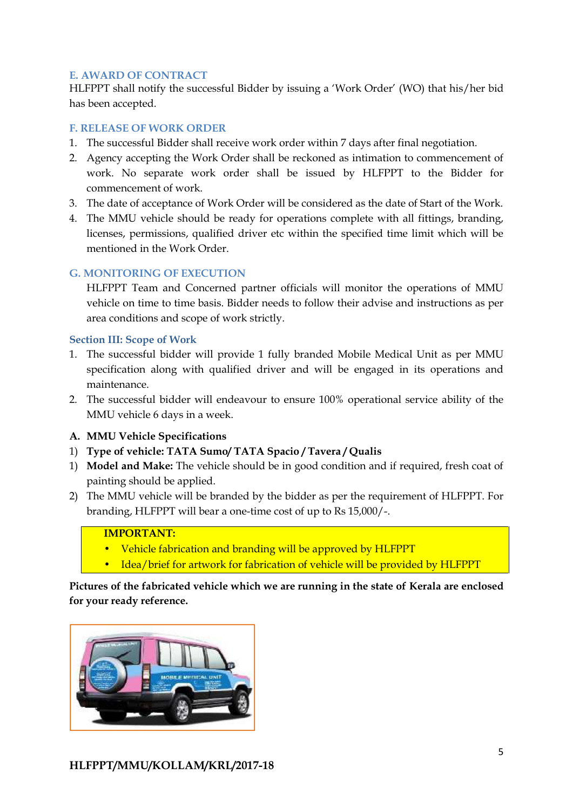# **E. AWARD OF CONTRACT**

HLFPPT shall notify the successful Bidder by issuing a 'Work Order' (WO) that his/her bid has been accepted.

#### **F. RELEASE OF WORK ORDER**

- 1. The successful Bidder shall receive work order within 7 days after final negotiation.
- 2. Agency accepting the Work Order shall be reckoned as intimation to commencement of work. No separate work order shall be issued by HLFPPT to the Bidder for commencement of work.
- 3. The date of acceptance of Work Order will be considered as the date of Start of the Work.
- 4. The MMU vehicle should be ready for operations complete with all fittings, branding, licenses, permissions, qualified driver etc within the specified time limit which will be mentioned in the Work Order.

# **G. MONITORING OF EXECUTION**

HLFPPT Team and Concerned partner officials will monitor the operations of MMU vehicle on time to time basis. Bidder needs to follow their advise and instructions as per area conditions and scope of work strictly.

#### **Section III: Scope of Work**

- 1. The successful bidder will provide 1 fully branded Mobile Medical Unit as per MMU specification along with qualified driver and will be engaged in its operations and maintenance.
- 2. The successful bidder will endeavour to ensure 100% operational service ability of the MMU vehicle 6 days in a week.

# **A. MMU Vehicle Specifications**

- 1) **Type of vehicle: TATA Sumo/ TATA Spacio / Tavera / Qualis**
- 1) **Model and Make:** The vehicle should be in good condition and if required, fresh coat of painting should be applied.
- 2) The MMU vehicle will be branded by the bidder as per the requirement of HLFPPT. For branding, HLFPPT will bear a one-time cost of up to Rs 15,000/-.

# **IMPORTANT:**

- Vehicle fabrication and branding will be approved by HLFPPT
- Idea/brief for artwork for fabrication of vehicle will be provided by HLFPPT

**Pictures of the fabricated vehicle which we are running in the state of Kerala are enclosed for your ready reference.**

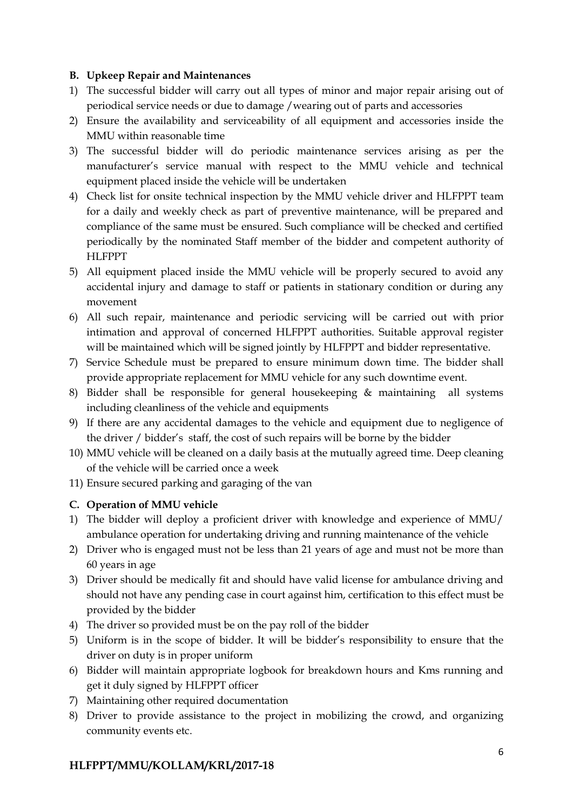#### **B. Upkeep Repair and Maintenances**

- 1) The successful bidder will carry out all types of minor and major repair arising out of periodical service needs or due to damage /wearing out of parts and accessories
- 2) Ensure the availability and serviceability of all equipment and accessories inside the MMU within reasonable time
- 3) The successful bidder will do periodic maintenance services arising as per the manufacturer's service manual with respect to the MMU vehicle and technical equipment placed inside the vehicle will be undertaken
- 4) Check list for onsite technical inspection by the MMU vehicle driver and HLFPPT team for a daily and weekly check as part of preventive maintenance, will be prepared and compliance of the same must be ensured. Such compliance will be checked and certified periodically by the nominated Staff member of the bidder and competent authority of HLFPPT
- 5) All equipment placed inside the MMU vehicle will be properly secured to avoid any accidental injury and damage to staff or patients in stationary condition or during any movement
- 6) All such repair, maintenance and periodic servicing will be carried out with prior intimation and approval of concerned HLFPPT authorities. Suitable approval register will be maintained which will be signed jointly by HLFPPT and bidder representative.
- 7) Service Schedule must be prepared to ensure minimum down time. The bidder shall provide appropriate replacement for MMU vehicle for any such downtime event.
- 8) Bidder shall be responsible for general housekeeping & maintaining all systems including cleanliness of the vehicle and equipments
- 9) If there are any accidental damages to the vehicle and equipment due to negligence of the driver / bidder's staff, the cost of such repairs will be borne by the bidder
- 10) MMU vehicle will be cleaned on a daily basis at the mutually agreed time. Deep cleaning of the vehicle will be carried once a week
- 11) Ensure secured parking and garaging of the van

# **C. Operation of MMU vehicle**

- 1) The bidder will deploy a proficient driver with knowledge and experience of MMU/ ambulance operation for undertaking driving and running maintenance of the vehicle
- 2) Driver who is engaged must not be less than 21 years of age and must not be more than 60 years in age
- 3) Driver should be medically fit and should have valid license for ambulance driving and should not have any pending case in court against him, certification to this effect must be provided by the bidder
- 4) The driver so provided must be on the pay roll of the bidder
- 5) Uniform is in the scope of bidder. It will be bidder's responsibility to ensure that the driver on duty is in proper uniform
- 6) Bidder will maintain appropriate logbook for breakdown hours and Kms running and get it duly signed by HLFPPT officer
- 7) Maintaining other required documentation
- 8) Driver to provide assistance to the project in mobilizing the crowd, and organizing community events etc.

# **HLFPPT/MMU/KOLLAM/KRL/2017-18**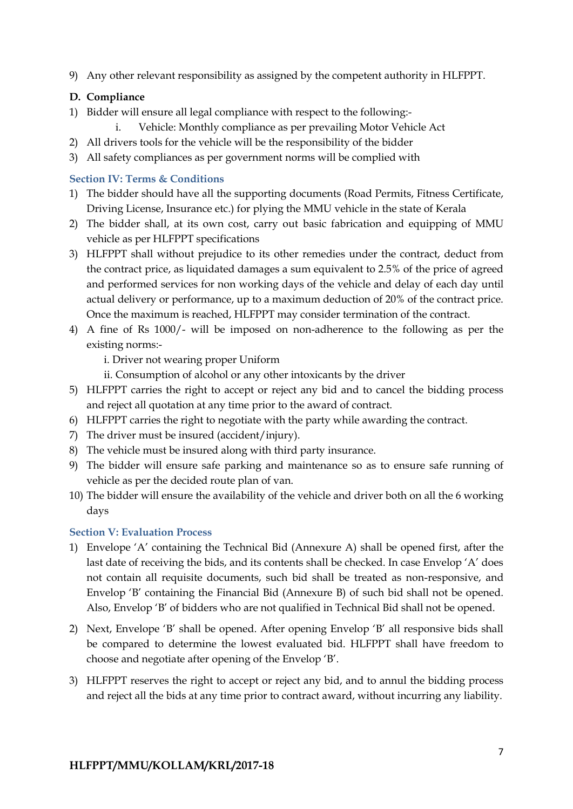9) Any other relevant responsibility as assigned by the competent authority in HLFPPT.

# **D. Compliance**

- 1) Bidder will ensure all legal compliance with respect to the following:
	- i. Vehicle: Monthly compliance as per prevailing Motor Vehicle Act
- 2) All drivers tools for the vehicle will be the responsibility of the bidder
- 3) All safety compliances as per government norms will be complied with

# **Section IV: Terms & Conditions**

- 1) The bidder should have all the supporting documents (Road Permits, Fitness Certificate, Driving License, Insurance etc.) for plying the MMU vehicle in the state of Kerala
- 2) The bidder shall, at its own cost, carry out basic fabrication and equipping of MMU vehicle as per HLFPPT specifications
- 3) HLFPPT shall without prejudice to its other remedies under the contract, deduct from the contract price, as liquidated damages a sum equivalent to 2.5% of the price of agreed and performed services for non working days of the vehicle and delay of each day until actual delivery or performance, up to a maximum deduction of 20% of the contract price. Once the maximum is reached, HLFPPT may consider termination of the contract.
- 4) A fine of Rs 1000/- will be imposed on non-adherence to the following as per the existing norms:-

i. Driver not wearing proper Uniform

- ii. Consumption of alcohol or any other intoxicants by the driver
- 5) HLFPPT carries the right to accept or reject any bid and to cancel the bidding process and reject all quotation at any time prior to the award of contract.
- 6) HLFPPT carries the right to negotiate with the party while awarding the contract.
- 7) The driver must be insured (accident/injury).
- 8) The vehicle must be insured along with third party insurance.
- 9) The bidder will ensure safe parking and maintenance so as to ensure safe running of vehicle as per the decided route plan of van.
- 10) The bidder will ensure the availability of the vehicle and driver both on all the 6 working days

# **Section V: Evaluation Process**

- 1) Envelope 'A' containing the Technical Bid (Annexure A) shall be opened first, after the last date of receiving the bids, and its contents shall be checked. In case Envelop 'A' does not contain all requisite documents, such bid shall be treated as non-responsive, and Envelop 'B' containing the Financial Bid (Annexure B) of such bid shall not be opened. Also, Envelop 'B' of bidders who are not qualified in Technical Bid shall not be opened.
- 2) Next, Envelope 'B' shall be opened. After opening Envelop 'B' all responsive bids shall be compared to determine the lowest evaluated bid. HLFPPT shall have freedom to choose and negotiate after opening of the Envelop 'B'.
- 3) HLFPPT reserves the right to accept or reject any bid, and to annul the bidding process and reject all the bids at any time prior to contract award, without incurring any liability.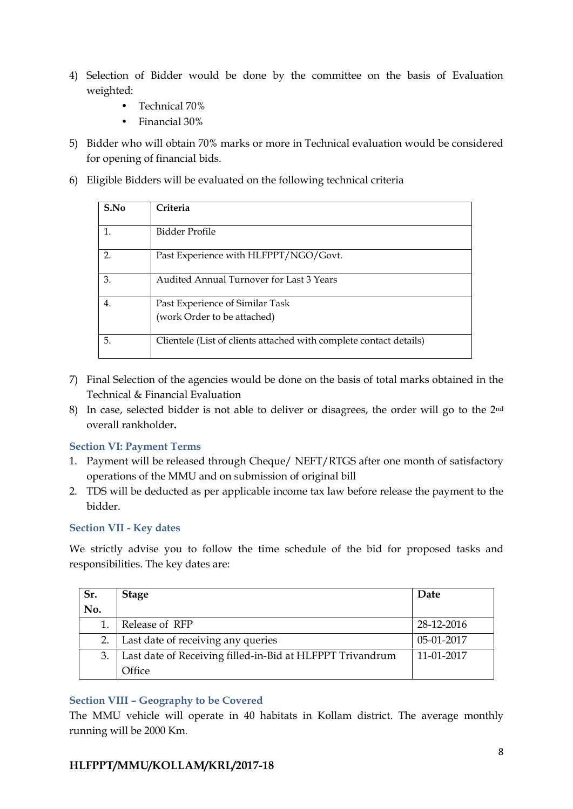- 4) Selection of Bidder would be done by the committee on the basis of Evaluation weighted:
	- Technical 70%
	- Financial 30%
- 5) Bidder who will obtain 70% marks or more in Technical evaluation would be considered for opening of financial bids.
- 6) Eligible Bidders will be evaluated on the following technical criteria

| S.No           | Criteria                                                           |
|----------------|--------------------------------------------------------------------|
| $\mathbf{1}$   | Bidder Profile                                                     |
| $\overline{2}$ | Past Experience with HLFPPT/NGO/Govt.                              |
| 3.             | Audited Annual Turnover for Last 3 Years                           |
| 4.             | Past Experience of Similar Task<br>(work Order to be attached)     |
| 5.             | Clientele (List of clients attached with complete contact details) |

- 7) Final Selection of the agencies would be done on the basis of total marks obtained in the Technical & Financial Evaluation
- 8) In case, selected bidder is not able to deliver or disagrees, the order will go to the 2<sup>nd</sup> overall rankholder**.**

#### **Section VI: Payment Terms**

- 1. Payment will be released through Cheque/ NEFT/RTGS after one month of satisfactory operations of the MMU and on submission of original bill
- 2. TDS will be deducted as per applicable income tax law before release the payment to the bidder.

# **Section VII - Key dates**

We strictly advise you to follow the time schedule of the bid for proposed tasks and responsibilities. The key dates are:

| Sr. | <b>Stage</b>                                              | Date       |
|-----|-----------------------------------------------------------|------------|
| No. |                                                           |            |
|     | Release of RFP                                            | 28-12-2016 |
| 2.  | Last date of receiving any queries                        | 05-01-2017 |
| 3.  | Last date of Receiving filled-in-Bid at HLFPPT Trivandrum | 11-01-2017 |
|     | Office                                                    |            |

# **Section VIII – Geography to be Covered**

The MMU vehicle will operate in 40 habitats in Kollam district. The average monthly running will be 2000 Km.

# **HLFPPT/MMU/KOLLAM/KRL/2017-18**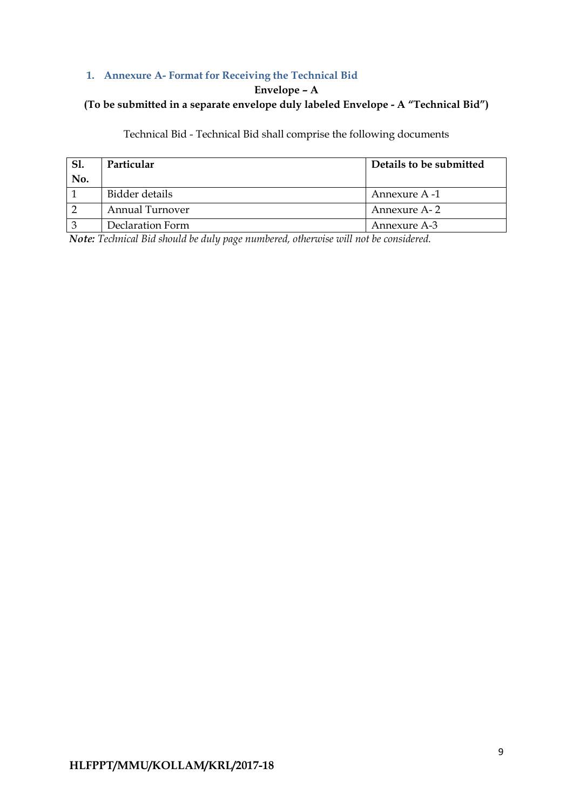# **1. Annexure A- Format for Receiving the Technical Bid**

#### **Envelope – A**

# **(To be submitted in a separate envelope duly labeled Envelope - A "Technical Bid")**

# Technical Bid - Technical Bid shall comprise the following documents

| Sl. | Particular             | Details to be submitted |
|-----|------------------------|-------------------------|
| No. |                        |                         |
|     | Bidder details         | Annexure A -1           |
|     | <b>Annual Turnover</b> | Annexure A-2            |
|     | Declaration Form       | Annexure A-3            |

*Note: Technical Bid should be duly page numbered, otherwise will not be considered.*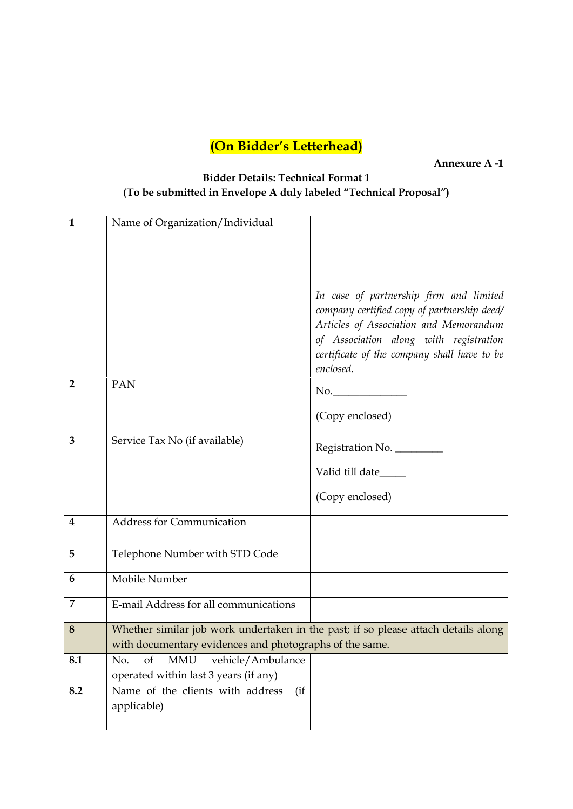**Annexure A -1**

# **Bidder Details: Technical Format 1 (To be submitted in Envelope A duly labeled "Technical Proposal")**

| $\mathbf{1}$            | Name of Organization/Individual                                                    |                                                                                                                                                                                                                                        |
|-------------------------|------------------------------------------------------------------------------------|----------------------------------------------------------------------------------------------------------------------------------------------------------------------------------------------------------------------------------------|
|                         |                                                                                    |                                                                                                                                                                                                                                        |
|                         |                                                                                    |                                                                                                                                                                                                                                        |
|                         |                                                                                    |                                                                                                                                                                                                                                        |
|                         |                                                                                    | In case of partnership firm and limited<br>company certified copy of partnership deed/<br>Articles of Association and Memorandum<br>of Association along with registration<br>certificate of the company shall have to be<br>enclosed. |
| $\overline{2}$          | PAN                                                                                | No.                                                                                                                                                                                                                                    |
|                         |                                                                                    | (Copy enclosed)                                                                                                                                                                                                                        |
| 3                       | Service Tax No (if available)                                                      | Registration No.                                                                                                                                                                                                                       |
|                         |                                                                                    |                                                                                                                                                                                                                                        |
|                         |                                                                                    | Valid till date______                                                                                                                                                                                                                  |
|                         |                                                                                    | (Copy enclosed)                                                                                                                                                                                                                        |
| $\overline{\mathbf{4}}$ | <b>Address for Communication</b>                                                   |                                                                                                                                                                                                                                        |
| 5                       | Telephone Number with STD Code                                                     |                                                                                                                                                                                                                                        |
| 6                       | Mobile Number                                                                      |                                                                                                                                                                                                                                        |
| 7                       | E-mail Address for all communications                                              |                                                                                                                                                                                                                                        |
| 8                       | Whether similar job work undertaken in the past; if so please attach details along |                                                                                                                                                                                                                                        |
|                         | with documentary evidences and photographs of the same.                            |                                                                                                                                                                                                                                        |
| 8.1                     | <b>MMU</b><br>vehicle/Ambulance<br>of<br>No.                                       |                                                                                                                                                                                                                                        |
|                         | operated within last 3 years (if any)                                              |                                                                                                                                                                                                                                        |
| 8.2                     | Name of the clients with address<br>(iif)                                          |                                                                                                                                                                                                                                        |
|                         | applicable)                                                                        |                                                                                                                                                                                                                                        |
|                         |                                                                                    |                                                                                                                                                                                                                                        |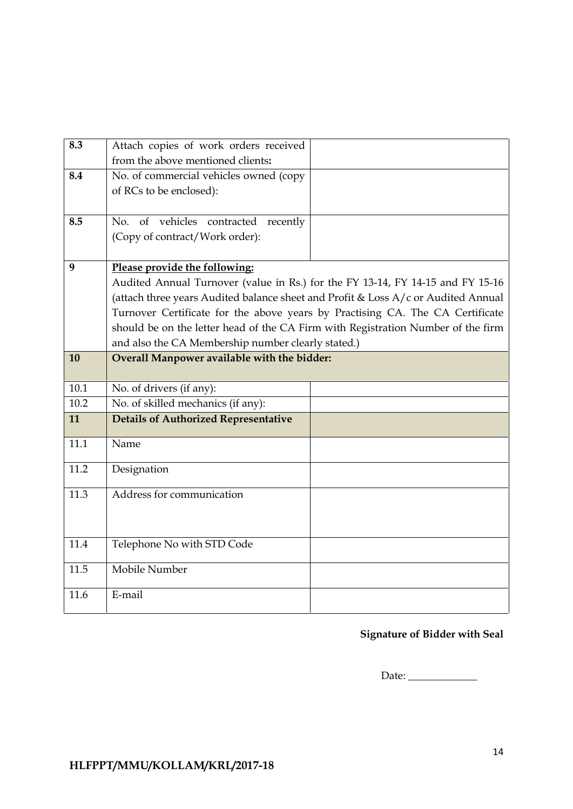| 8.4<br>No. of commercial vehicles owned (copy<br>of RCs to be enclosed):<br>8.5<br>No. of vehicles contracted<br>recently<br>(Copy of contract/Work order):<br>9<br>Please provide the following:<br>Audited Annual Turnover (value in Rs.) for the FY 13-14, FY 14-15 and FY 15-16<br>(attach three years Audited balance sheet and Profit & Loss A/c or Audited Annual<br>Turnover Certificate for the above years by Practising CA. The CA Certificate<br>should be on the letter head of the CA Firm with Registration Number of the firm<br>and also the CA Membership number clearly stated.)<br>Overall Manpower available with the bidder:<br>10<br>10.1<br>No. of drivers (if any):<br>10.2<br>No. of skilled mechanics (if any):<br><b>Details of Authorized Representative</b><br>11<br>11.1<br>Name<br>11.2<br>Designation<br>11.3<br>Address for communication<br>11.4<br>Telephone No with STD Code<br>Mobile Number<br>11.5<br>E-mail<br>11.6 | 8.3 | Attach copies of work orders received<br>from the above mentioned clients: |  |
|--------------------------------------------------------------------------------------------------------------------------------------------------------------------------------------------------------------------------------------------------------------------------------------------------------------------------------------------------------------------------------------------------------------------------------------------------------------------------------------------------------------------------------------------------------------------------------------------------------------------------------------------------------------------------------------------------------------------------------------------------------------------------------------------------------------------------------------------------------------------------------------------------------------------------------------------------------------|-----|----------------------------------------------------------------------------|--|
|                                                                                                                                                                                                                                                                                                                                                                                                                                                                                                                                                                                                                                                                                                                                                                                                                                                                                                                                                              |     |                                                                            |  |
|                                                                                                                                                                                                                                                                                                                                                                                                                                                                                                                                                                                                                                                                                                                                                                                                                                                                                                                                                              |     |                                                                            |  |
|                                                                                                                                                                                                                                                                                                                                                                                                                                                                                                                                                                                                                                                                                                                                                                                                                                                                                                                                                              |     |                                                                            |  |
|                                                                                                                                                                                                                                                                                                                                                                                                                                                                                                                                                                                                                                                                                                                                                                                                                                                                                                                                                              |     |                                                                            |  |
|                                                                                                                                                                                                                                                                                                                                                                                                                                                                                                                                                                                                                                                                                                                                                                                                                                                                                                                                                              |     |                                                                            |  |
|                                                                                                                                                                                                                                                                                                                                                                                                                                                                                                                                                                                                                                                                                                                                                                                                                                                                                                                                                              |     |                                                                            |  |
|                                                                                                                                                                                                                                                                                                                                                                                                                                                                                                                                                                                                                                                                                                                                                                                                                                                                                                                                                              |     |                                                                            |  |
|                                                                                                                                                                                                                                                                                                                                                                                                                                                                                                                                                                                                                                                                                                                                                                                                                                                                                                                                                              |     |                                                                            |  |
|                                                                                                                                                                                                                                                                                                                                                                                                                                                                                                                                                                                                                                                                                                                                                                                                                                                                                                                                                              |     |                                                                            |  |
|                                                                                                                                                                                                                                                                                                                                                                                                                                                                                                                                                                                                                                                                                                                                                                                                                                                                                                                                                              |     |                                                                            |  |
|                                                                                                                                                                                                                                                                                                                                                                                                                                                                                                                                                                                                                                                                                                                                                                                                                                                                                                                                                              |     |                                                                            |  |
|                                                                                                                                                                                                                                                                                                                                                                                                                                                                                                                                                                                                                                                                                                                                                                                                                                                                                                                                                              |     |                                                                            |  |
|                                                                                                                                                                                                                                                                                                                                                                                                                                                                                                                                                                                                                                                                                                                                                                                                                                                                                                                                                              |     |                                                                            |  |

# **Signature of Bidder with Seal**

Date: \_\_\_\_\_\_\_\_\_\_\_\_\_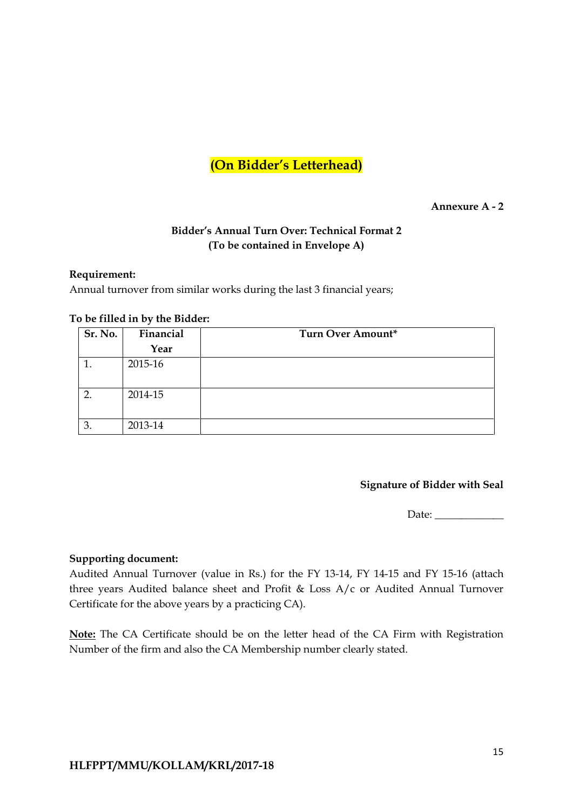#### **Annexure A - 2**

# **Bidder's Annual Turn Over: Technical Format 2 (To be contained in Envelope A)**

#### **Requirement:**

Annual turnover from similar works during the last 3 financial years;

| Sr. No.        | Financial | Turn Over Amount* |
|----------------|-----------|-------------------|
|                | Year      |                   |
|                | 2015-16   |                   |
|                | 2014-15   |                   |
| $\mathfrak{Z}$ | 2013-14   |                   |

#### **To be filled in by the Bidder:**

#### **Signature of Bidder with Seal**

Date:

#### **Supporting document:**

Audited Annual Turnover (value in Rs.) for the FY 13-14, FY 14-15 and FY 15-16 (attach three years Audited balance sheet and Profit & Loss A/c or Audited Annual Turnover Certificate for the above years by a practicing CA).

**Note:** The CA Certificate should be on the letter head of the CA Firm with Registration Number of the firm and also the CA Membership number clearly stated.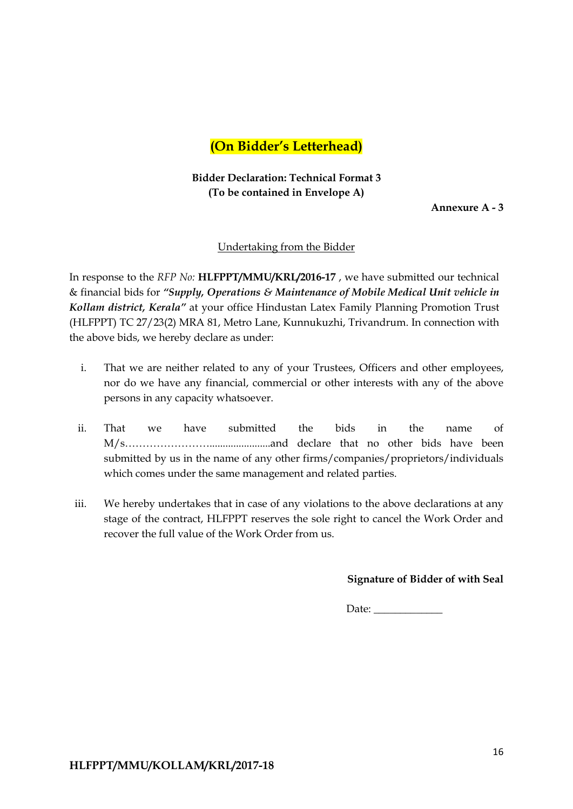# **Bidder Declaration: Technical Format 3 (To be contained in Envelope A)**

**Annexure A - 3**

#### Undertaking from the Bidder

In response to the *RFP No:* **HLFPPT/MMU/KRL/2016-17** , we have submitted our technical & financial bids for *"Supply, Operations & Maintenance of Mobile Medical Unit vehicle in Kollam district, Kerala"* at your office Hindustan Latex Family Planning Promotion Trust (HLFPPT) TC 27/23(2) MRA 81, Metro Lane, Kunnukuzhi, Trivandrum. In connection with the above bids, we hereby declare as under:

- i. That we are neither related to any of your Trustees, Officers and other employees, nor do we have any financial, commercial or other interests with any of the above persons in any capacity whatsoever.
- ii. That we have submitted the bids in the name of M/s…………………….......................and declare that no other bids have been submitted by us in the name of any other firms/companies/proprietors/individuals which comes under the same management and related parties.
- iii. We hereby undertakes that in case of any violations to the above declarations at any stage of the contract, HLFPPT reserves the sole right to cancel the Work Order and recover the full value of the Work Order from us.

#### **Signature of Bidder of with Seal**

Date: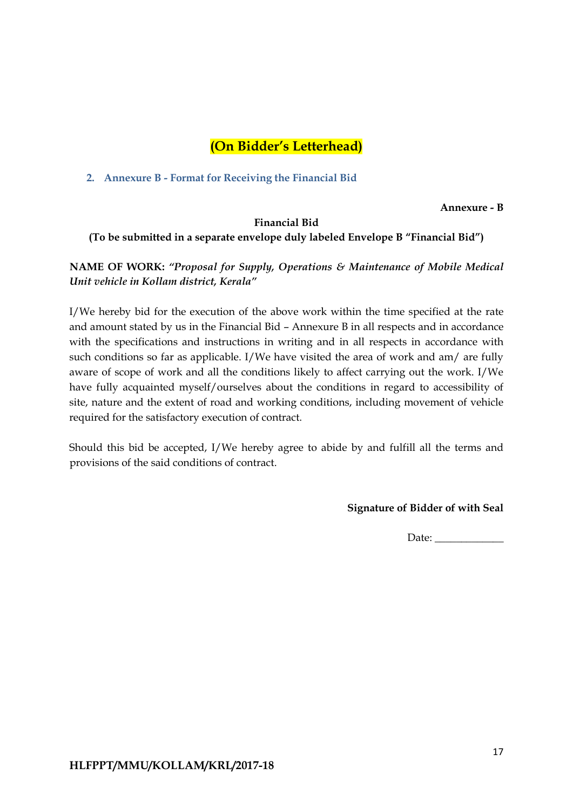**2. Annexure B - Format for Receiving the Financial Bid**

**Annexure - B**

# **Financial Bid (To be submitted in a separate envelope duly labeled Envelope B "Financial Bid")**

**NAME OF WORK:** *"Proposal for Supply, Operations & Maintenance of Mobile Medical Unit vehicle in Kollam district, Kerala"*

I/We hereby bid for the execution of the above work within the time specified at the rate and amount stated by us in the Financial Bid –Annexure B in all respects and in accordance with the specifications and instructions in writing and in all respects in accordance with such conditions so far as applicable. I/We have visited the area of work and am/ are fully aware of scope of work and all the conditions likely to affect carrying out the work. I/We have fully acquainted myself/ourselves about the conditions in regard to accessibility of site, nature and the extent of road and working conditions, including movement of vehicle required for the satisfactory execution of contract.

Should this bid be accepted, I/We hereby agree to abide by and fulfill all the terms and provisions of the said conditions of contract.

**Signature of Bidder of with Seal**

Date: